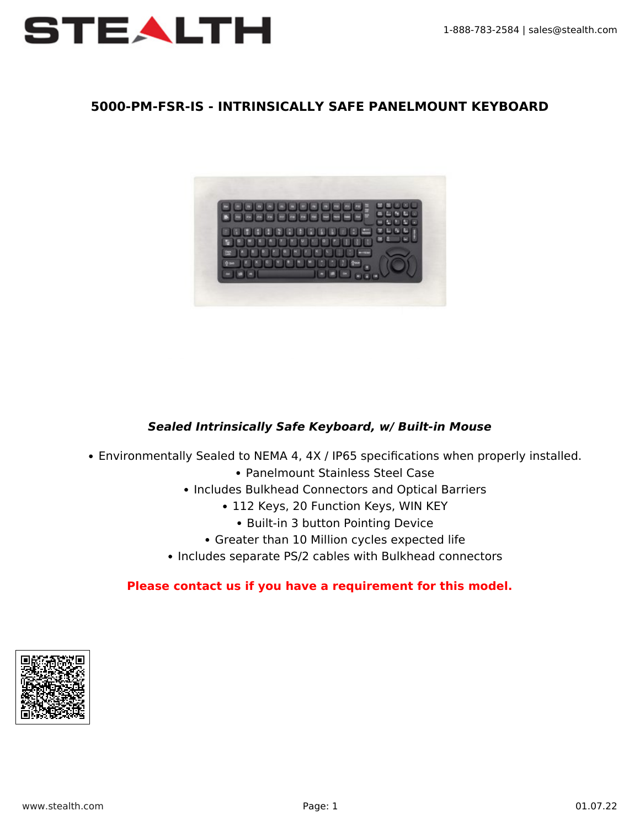

### **5000-PM-FSR-IS - INTRINSICALLY SAFE PANELMOUNT KEYBOARD**



### *Sealed Intrinsically Safe Keyboard, w/ Built-in Mouse*

- Environmentally Sealed to NEMA 4, 4X / IP65 specifications when properly installed.
	- Panelmount Stainless Steel Case
	- Includes Bulkhead Connectors and Optical Barriers
		- 112 Keys, 20 Function Keys, WIN KEY
			- Built-in 3 button Pointing Device
		- Greater than 10 Million cycles expected life
	- Includes separate PS/2 cables with Bulkhead connectors

#### **Please [contact us](https://www.stealth.com/contact-us/) if you have a requirement for this model.**

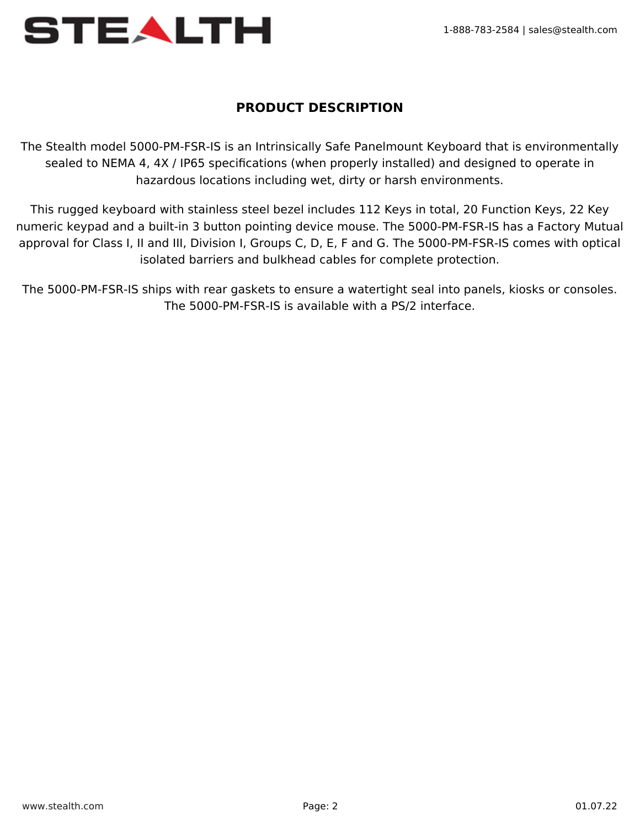

## **PRODUCT DESCRIPTION**

The Stealth model 5000-PM-FSR-IS is an Intrinsically Safe Panelmount Keyboard that is environmentally sealed to NEMA 4, 4X / IP65 specifications (when properly installed) and designed to operate in hazardous locations including wet, dirty or harsh environments.

This rugged keyboard with stainless steel bezel includes 112 Keys in total, 20 Function Keys, 22 Key numeric keypad and a built-in 3 button pointing device mouse. The 5000-PM-FSR-IS has a Factory Mutual approval for Class I, II and III, Division I, Groups C, D, E, F and G. The 5000-PM-FSR-IS comes with optical isolated barriers and bulkhead cables for complete protection.

The 5000-PM-FSR-IS ships with rear gaskets to ensure a watertight seal into panels, kiosks or consoles. The 5000-PM-FSR-IS is available with a PS/2 interface.